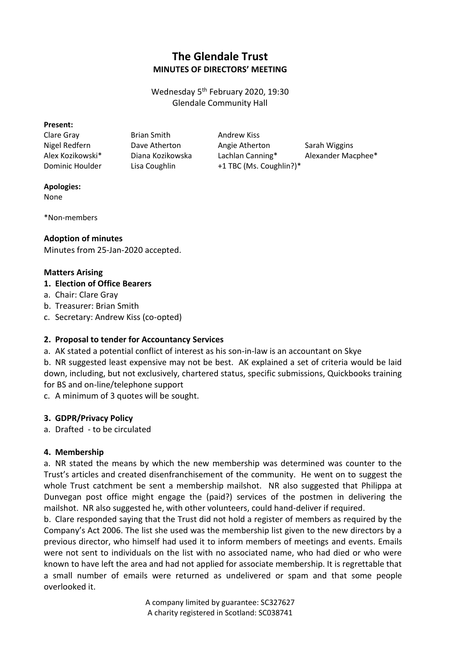# **The Glendale Trust MINUTES OF DIRECTORS' MEETING**

Wednesday 5th February 2020, 19:30 Glendale Community Hall

#### **Present:**

Clare Gray Brian Smith Andrew Kiss

Nigel Redfern **Dave Atherton** Angie Atherton Sarah Wiggins Alex Kozikowski\* Diana Kozikowska Lachlan Canning\* Alexander Macphee\* Dominic Houlder Lisa Coughlin +1 TBC (Ms. Coughlin?)\*

#### **Apologies:**

None

\*Non-members

#### **Adoption of minutes**

Minutes from 25-Jan-2020 accepted.

#### **Matters Arising**

### **1. Election of Office Bearers**

- a. Chair: Clare Gray
- b. Treasurer: Brian Smith
- c. Secretary: Andrew Kiss (co-opted)

#### **2. Proposal to tender for Accountancy Services**

a. AK stated a potential conflict of interest as his son-in-law is an accountant on Skye

b. NR suggested least expensive may not be best. AK explained a set of criteria would be laid down, including, but not exclusively, chartered status, specific submissions, Quickbooks training for BS and on-line/telephone support

c. A minimum of 3 quotes will be sought.

## **3. GDPR/Privacy Policy**

a. Drafted - to be circulated

#### **4. Membership**

a. NR stated the means by which the new membership was determined was counter to the Trust's articles and created disenfranchisement of the community. He went on to suggest the whole Trust catchment be sent a membership mailshot. NR also suggested that Philippa at Dunvegan post office might engage the (paid?) services of the postmen in delivering the mailshot. NR also suggested he, with other volunteers, could hand-deliver if required.

b. Clare responded saying that the Trust did not hold a register of members as required by the Company's Act 2006. The list she used was the membership list given to the new directors by a previous director, who himself had used it to inform members of meetings and events. Emails were not sent to individuals on the list with no associated name, who had died or who were known to have left the area and had not applied for associate membership. It is regrettable that a small number of emails were returned as undelivered or spam and that some people overlooked it.